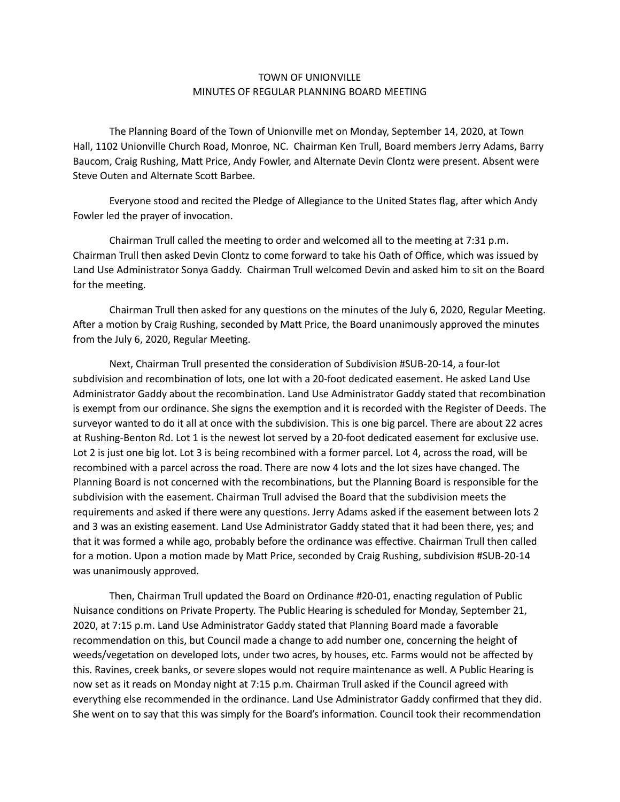## TOWN OF UNIONVILLE MINUTES OF REGULAR PLANNING BOARD MEETING

 The Planning Board of the Town of Unionville met on Monday, September 14, 2020, at Town Hall, 1102 Unionville Church Road, Monroe, NC. Chairman Ken Trull, Board members Jerry Adams, Barry Baucom, Craig Rushing, Matt Price, Andy Fowler, and Alternate Devin Clontz were present. Absent were Steve Outen and Alternate Scott Barbee.

Everyone stood and recited the Pledge of Allegiance to the United States flag, after which Andy Fowler led the prayer of invocation.

Chairman Trull called the meeting to order and welcomed all to the meeting at  $7:31$  p.m. Chairman Trull then asked Devin Clontz to come forward to take his Oath of Office, which was issued by Land Use Administrator Sonya Gaddy. Chairman Trull welcomed Devin and asked him to sit on the Board for the meeting.

Chairman Trull then asked for any questions on the minutes of the July 6, 2020, Regular Meeting. After a motion by Craig Rushing, seconded by Matt Price, the Board unanimously approved the minutes from the July 6, 2020, Regular Meeting.

Next, Chairman Trull presented the consideration of Subdivision #SUB-20-14, a four-lot subdivision and recombination of lots, one lot with a 20-foot dedicated easement. He asked Land Use Administrator Gaddy about the recombination. Land Use Administrator Gaddy stated that recombination is exempt from our ordinance. She signs the exemption and it is recorded with the Register of Deeds. The surveyor wanted to do it all at once with the subdivision. This is one big parcel. There are about 22 acres at Rushing-Benton Rd. Lot 1 is the newest lot served by a 20-foot dedicated easement for exclusive use. Lot 2 is just one big lot. Lot 3 is being recombined with a former parcel. Lot 4, across the road, will be recombined with a parcel across the road. There are now 4 lots and the lot sizes have changed. The Planning Board is not concerned with the recombinations, but the Planning Board is responsible for the subdivision with the easement. Chairman Trull advised the Board that the subdivision meets the requirements and asked if there were any questions. Jerry Adams asked if the easement between lots 2 and 3 was an existing easement. Land Use Administrator Gaddy stated that it had been there, yes; and that it was formed a while ago, probably before the ordinance was effective. Chairman Trull then called for a motion. Upon a motion made by Matt Price, seconded by Craig Rushing, subdivision #SUB-20-14 was unanimously approved.

Then, Chairman Trull updated the Board on Ordinance #20-01, enacting regulation of Public Nuisance conditions on Private Property. The Public Hearing is scheduled for Monday, September 21, 2020, at 7:15 p.m. Land Use Administrator Gaddy stated that Planning Board made a favorable recommendation on this, but Council made a change to add number one, concerning the height of weeds/vegetation on developed lots, under two acres, by houses, etc. Farms would not be affected by this. Ravines, creek banks, or severe slopes would not require maintenance as well. A Public Hearing is now set as it reads on Monday night at 7:15 p.m. Chairman Trull asked if the Council agreed with everything else recommended in the ordinance. Land Use Administrator Gaddy confirmed that they did. She went on to say that this was simply for the Board's information. Council took their recommendation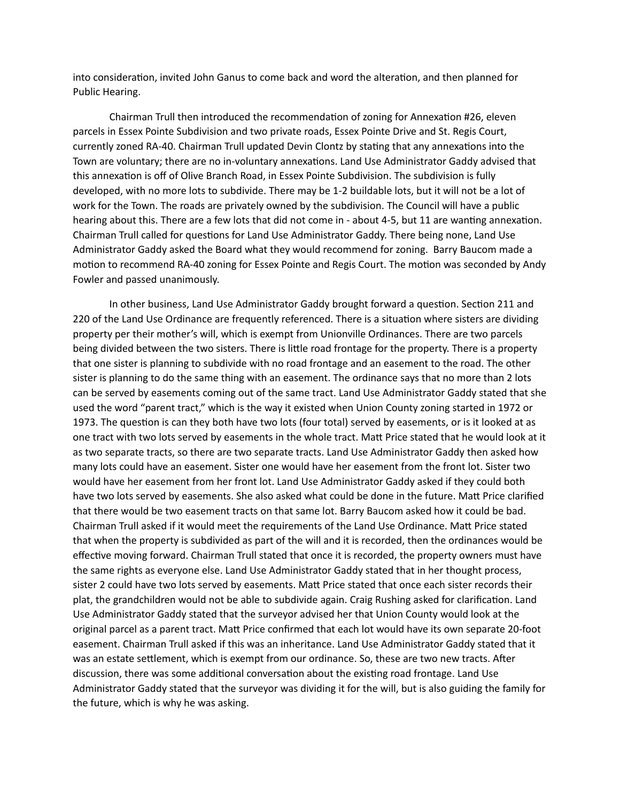into consideration, invited John Ganus to come back and word the alteration, and then planned for Public Hearing.

Chairman Trull then introduced the recommendation of zoning for Annexation #26, eleven parcels in Essex Pointe Subdivision and two private roads, Essex Pointe Drive and St. Regis Court, currently zoned RA-40. Chairman Trull updated Devin Clontz by stating that any annexations into the Town are voluntary; there are no in-voluntary annexations. Land Use Administrator Gaddy advised that this annexation is off of Olive Branch Road, in Essex Pointe Subdivision. The subdivision is fully developed, with no more lots to subdivide. There may be 1-2 buildable lots, but it will not be a lot of work for the Town. The roads are privately owned by the subdivision. The Council will have a public hearing about this. There are a few lots that did not come in - about 4-5, but 11 are wanting annexation. Chairman Trull called for questions for Land Use Administrator Gaddy. There being none, Land Use Administrator Gaddy asked the Board what they would recommend for zoning. Barry Baucom made a motion to recommend RA-40 zoning for Essex Pointe and Regis Court. The motion was seconded by Andy Fowler and passed unanimously.

In other business, Land Use Administrator Gaddy brought forward a question. Section 211 and 220 of the Land Use Ordinance are frequently referenced. There is a situation where sisters are dividing property per their mother's will, which is exempt from Unionville Ordinances. There are two parcels being divided between the two sisters. There is little road frontage for the property. There is a property that one sister is planning to subdivide with no road frontage and an easement to the road. The other sister is planning to do the same thing with an easement. The ordinance says that no more than 2 lots can be served by easements coming out of the same tract. Land Use Administrator Gaddy stated that she used the word "parent tract," which is the way it existed when Union County zoning started in 1972 or 1973. The question is can they both have two lots (four total) served by easements, or is it looked at as one tract with two lots served by easements in the whole tract. Matt Price stated that he would look at it as two separate tracts, so there are two separate tracts. Land Use Administrator Gaddy then asked how many lots could have an easement. Sister one would have her easement from the front lot. Sister two would have her easement from her front lot. Land Use Administrator Gaddy asked if they could both have two lots served by easements. She also asked what could be done in the future. Matt Price clarified that there would be two easement tracts on that same lot. Barry Baucom asked how it could be bad. Chairman Trull asked if it would meet the requirements of the Land Use Ordinance. Matt Price stated that when the property is subdivided as part of the will and it is recorded, then the ordinances would be effective moving forward. Chairman Trull stated that once it is recorded, the property owners must have the same rights as everyone else. Land Use Administrator Gaddy stated that in her thought process, sister 2 could have two lots served by easements. Matt Price stated that once each sister records their plat, the grandchildren would not be able to subdivide again. Craig Rushing asked for clarification. Land Use Administrator Gaddy stated that the surveyor advised her that Union County would look at the original parcel as a parent tract. Matt Price confirmed that each lot would have its own separate 20-foot easement. Chairman Trull asked if this was an inheritance. Land Use Administrator Gaddy stated that it was an estate settlement, which is exempt from our ordinance. So, these are two new tracts. After discussion, there was some additional conversation about the existing road frontage. Land Use Administrator Gaddy stated that the surveyor was dividing it for the will, but is also guiding the family for the future, which is why he was asking.